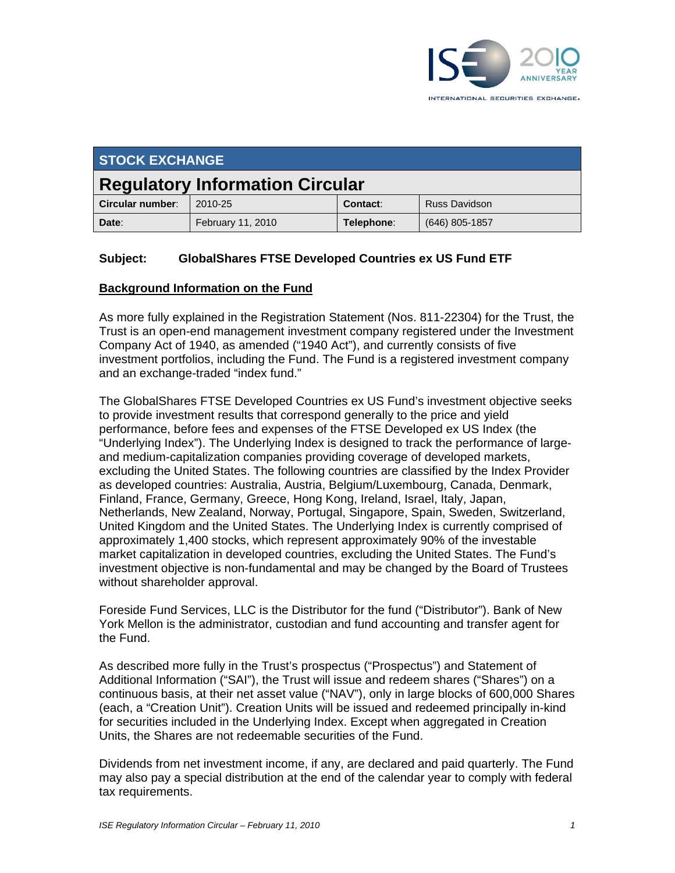

| <b>STOCK EXCHANGE</b>                  |                   |            |                      |
|----------------------------------------|-------------------|------------|----------------------|
| <b>Regulatory Information Circular</b> |                   |            |                      |
| Circular number:                       | 2010-25           | Contact:   | <b>Russ Davidson</b> |
| Date:                                  | February 11, 2010 | Telephone: | $(646)$ 805-1857     |

## **Subject: GlobalShares FTSE Developed Countries ex US Fund ETF**

#### **Background Information on the Fund**

As more fully explained in the Registration Statement (Nos. 811-22304) for the Trust, the Trust is an open-end management investment company registered under the Investment Company Act of 1940, as amended ("1940 Act"), and currently consists of five investment portfolios, including the Fund. The Fund is a registered investment company and an exchange-traded "index fund."

The GlobalShares FTSE Developed Countries ex US Fund's investment objective seeks to provide investment results that correspond generally to the price and yield performance, before fees and expenses of the FTSE Developed ex US Index (the "Underlying Index"). The Underlying Index is designed to track the performance of largeand medium-capitalization companies providing coverage of developed markets, excluding the United States. The following countries are classified by the Index Provider as developed countries: Australia, Austria, Belgium/Luxembourg, Canada, Denmark, Finland, France, Germany, Greece, Hong Kong, Ireland, Israel, Italy, Japan, Netherlands, New Zealand, Norway, Portugal, Singapore, Spain, Sweden, Switzerland, United Kingdom and the United States. The Underlying Index is currently comprised of approximately 1,400 stocks, which represent approximately 90% of the investable market capitalization in developed countries, excluding the United States. The Fund's investment objective is non-fundamental and may be changed by the Board of Trustees without shareholder approval.

Foreside Fund Services, LLC is the Distributor for the fund ("Distributor"). Bank of New York Mellon is the administrator, custodian and fund accounting and transfer agent for the Fund.

As described more fully in the Trust's prospectus ("Prospectus") and Statement of Additional Information ("SAI"), the Trust will issue and redeem shares ("Shares") on a continuous basis, at their net asset value ("NAV"), only in large blocks of 600,000 Shares (each, a "Creation Unit"). Creation Units will be issued and redeemed principally in-kind for securities included in the Underlying Index. Except when aggregated in Creation Units, the Shares are not redeemable securities of the Fund.

Dividends from net investment income, if any, are declared and paid quarterly. The Fund may also pay a special distribution at the end of the calendar year to comply with federal tax requirements.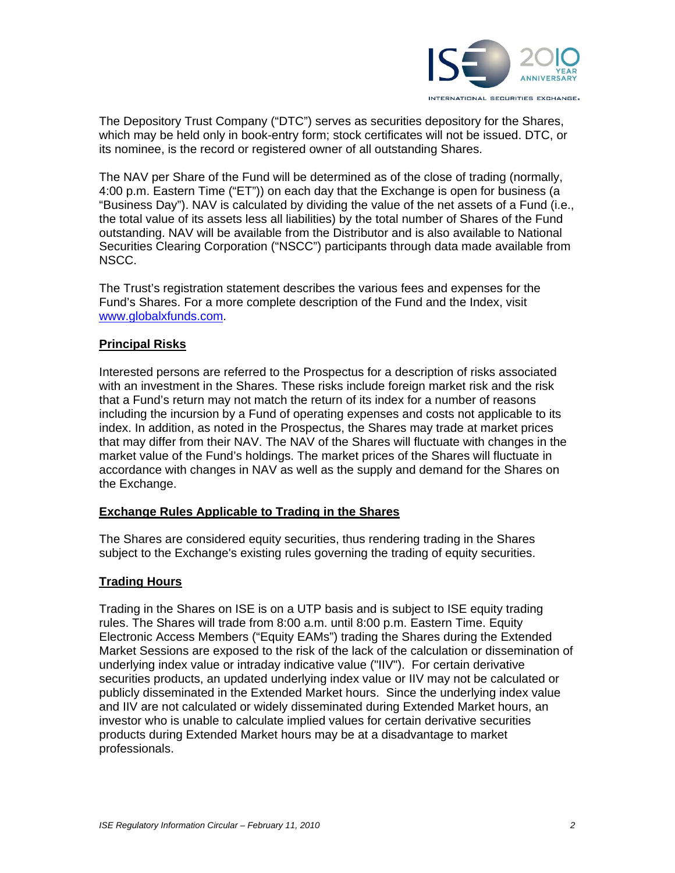

The Depository Trust Company ("DTC") serves as securities depository for the Shares, which may be held only in book-entry form; stock certificates will not be issued. DTC, or its nominee, is the record or registered owner of all outstanding Shares.

The NAV per Share of the Fund will be determined as of the close of trading (normally, 4:00 p.m. Eastern Time ("ET")) on each day that the Exchange is open for business (a "Business Day"). NAV is calculated by dividing the value of the net assets of a Fund (i.e., the total value of its assets less all liabilities) by the total number of Shares of the Fund outstanding. NAV will be available from the Distributor and is also available to National Securities Clearing Corporation ("NSCC") participants through data made available from NSCC.

The Trust's registration statement describes the various fees and expenses for the Fund's Shares. For a more complete description of the Fund and the Index, visit www.globalxfunds.com.

## **Principal Risks**

Interested persons are referred to the Prospectus for a description of risks associated with an investment in the Shares. These risks include foreign market risk and the risk that a Fund's return may not match the return of its index for a number of reasons including the incursion by a Fund of operating expenses and costs not applicable to its index. In addition, as noted in the Prospectus, the Shares may trade at market prices that may differ from their NAV. The NAV of the Shares will fluctuate with changes in the market value of the Fund's holdings. The market prices of the Shares will fluctuate in accordance with changes in NAV as well as the supply and demand for the Shares on the Exchange.

## **Exchange Rules Applicable to Trading in the Shares**

The Shares are considered equity securities, thus rendering trading in the Shares subject to the Exchange's existing rules governing the trading of equity securities.

## **Trading Hours**

Trading in the Shares on ISE is on a UTP basis and is subject to ISE equity trading rules. The Shares will trade from 8:00 a.m. until 8:00 p.m. Eastern Time. Equity Electronic Access Members ("Equity EAMs") trading the Shares during the Extended Market Sessions are exposed to the risk of the lack of the calculation or dissemination of underlying index value or intraday indicative value ("IIV"). For certain derivative securities products, an updated underlying index value or IIV may not be calculated or publicly disseminated in the Extended Market hours. Since the underlying index value and IIV are not calculated or widely disseminated during Extended Market hours, an investor who is unable to calculate implied values for certain derivative securities products during Extended Market hours may be at a disadvantage to market professionals.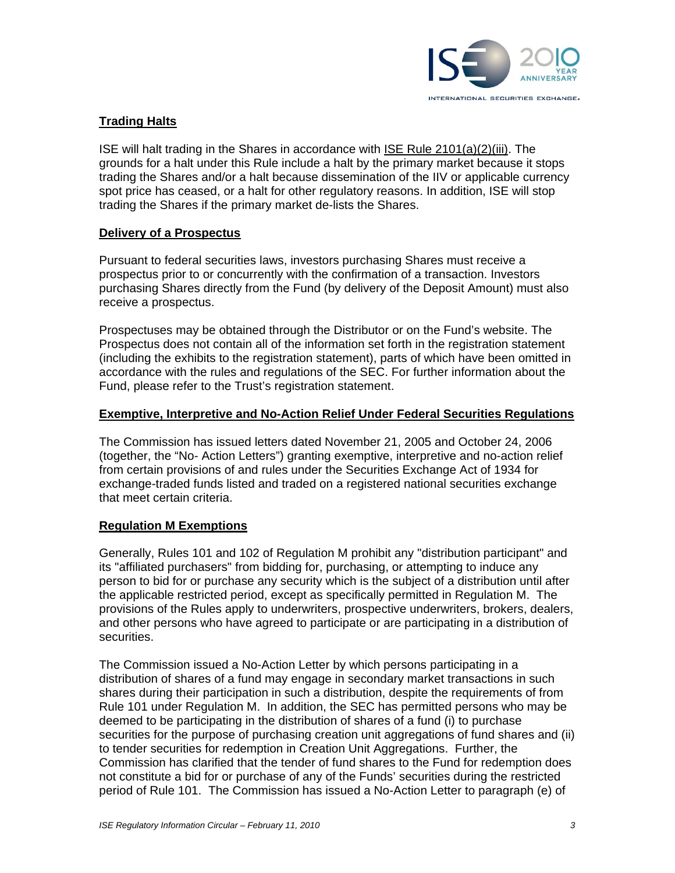

## **Trading Halts**

ISE will halt trading in the Shares in accordance with ISE Rule 2101(a)(2)(iii). The grounds for a halt under this Rule include a halt by the primary market because it stops trading the Shares and/or a halt because dissemination of the IIV or applicable currency spot price has ceased, or a halt for other regulatory reasons. In addition, ISE will stop trading the Shares if the primary market de-lists the Shares.

## **Delivery of a Prospectus**

Pursuant to federal securities laws, investors purchasing Shares must receive a prospectus prior to or concurrently with the confirmation of a transaction. Investors purchasing Shares directly from the Fund (by delivery of the Deposit Amount) must also receive a prospectus.

Prospectuses may be obtained through the Distributor or on the Fund's website. The Prospectus does not contain all of the information set forth in the registration statement (including the exhibits to the registration statement), parts of which have been omitted in accordance with the rules and regulations of the SEC. For further information about the Fund, please refer to the Trust's registration statement.

#### **Exemptive, Interpretive and No-Action Relief Under Federal Securities Regulations**

The Commission has issued letters dated November 21, 2005 and October 24, 2006 (together, the "No- Action Letters") granting exemptive, interpretive and no-action relief from certain provisions of and rules under the Securities Exchange Act of 1934 for exchange-traded funds listed and traded on a registered national securities exchange that meet certain criteria.

## **Regulation M Exemptions**

Generally, Rules 101 and 102 of Regulation M prohibit any "distribution participant" and its "affiliated purchasers" from bidding for, purchasing, or attempting to induce any person to bid for or purchase any security which is the subject of a distribution until after the applicable restricted period, except as specifically permitted in Regulation M. The provisions of the Rules apply to underwriters, prospective underwriters, brokers, dealers, and other persons who have agreed to participate or are participating in a distribution of securities.

The Commission issued a No-Action Letter by which persons participating in a distribution of shares of a fund may engage in secondary market transactions in such shares during their participation in such a distribution, despite the requirements of from Rule 101 under Regulation M. In addition, the SEC has permitted persons who may be deemed to be participating in the distribution of shares of a fund (i) to purchase securities for the purpose of purchasing creation unit aggregations of fund shares and (ii) to tender securities for redemption in Creation Unit Aggregations. Further, the Commission has clarified that the tender of fund shares to the Fund for redemption does not constitute a bid for or purchase of any of the Funds' securities during the restricted period of Rule 101. The Commission has issued a No-Action Letter to paragraph (e) of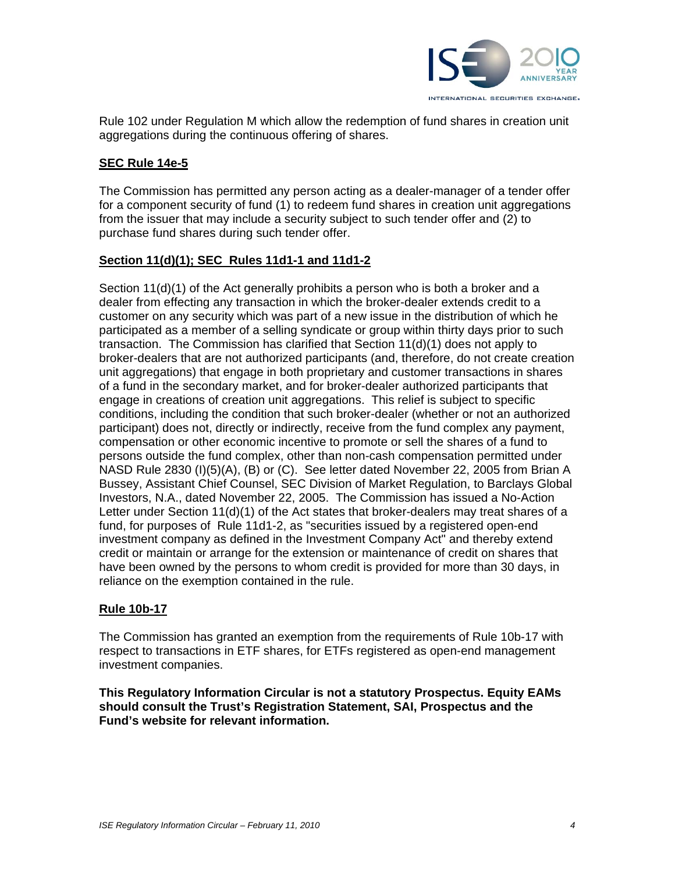

Rule 102 under Regulation M which allow the redemption of fund shares in creation unit aggregations during the continuous offering of shares.

## **SEC Rule 14e-5**

The Commission has permitted any person acting as a dealer-manager of a tender offer for a component security of fund (1) to redeem fund shares in creation unit aggregations from the issuer that may include a security subject to such tender offer and (2) to purchase fund shares during such tender offer.

#### **Section 11(d)(1); SEC Rules 11d1-1 and 11d1-2**

Section 11(d)(1) of the Act generally prohibits a person who is both a broker and a dealer from effecting any transaction in which the broker-dealer extends credit to a customer on any security which was part of a new issue in the distribution of which he participated as a member of a selling syndicate or group within thirty days prior to such transaction. The Commission has clarified that Section 11(d)(1) does not apply to broker-dealers that are not authorized participants (and, therefore, do not create creation unit aggregations) that engage in both proprietary and customer transactions in shares of a fund in the secondary market, and for broker-dealer authorized participants that engage in creations of creation unit aggregations. This relief is subject to specific conditions, including the condition that such broker-dealer (whether or not an authorized participant) does not, directly or indirectly, receive from the fund complex any payment, compensation or other economic incentive to promote or sell the shares of a fund to persons outside the fund complex, other than non-cash compensation permitted under NASD Rule 2830 (I)(5)(A), (B) or (C). See letter dated November 22, 2005 from Brian A Bussey, Assistant Chief Counsel, SEC Division of Market Regulation, to Barclays Global Investors, N.A., dated November 22, 2005. The Commission has issued a No-Action Letter under Section 11(d)(1) of the Act states that broker-dealers may treat shares of a fund, for purposes of Rule 11d1-2, as "securities issued by a registered open-end investment company as defined in the Investment Company Act" and thereby extend credit or maintain or arrange for the extension or maintenance of credit on shares that have been owned by the persons to whom credit is provided for more than 30 days, in reliance on the exemption contained in the rule.

#### **Rule 10b-17**

The Commission has granted an exemption from the requirements of Rule 10b-17 with respect to transactions in ETF shares, for ETFs registered as open-end management investment companies.

**This Regulatory Information Circular is not a statutory Prospectus. Equity EAMs should consult the Trust's Registration Statement, SAI, Prospectus and the Fund's website for relevant information.**